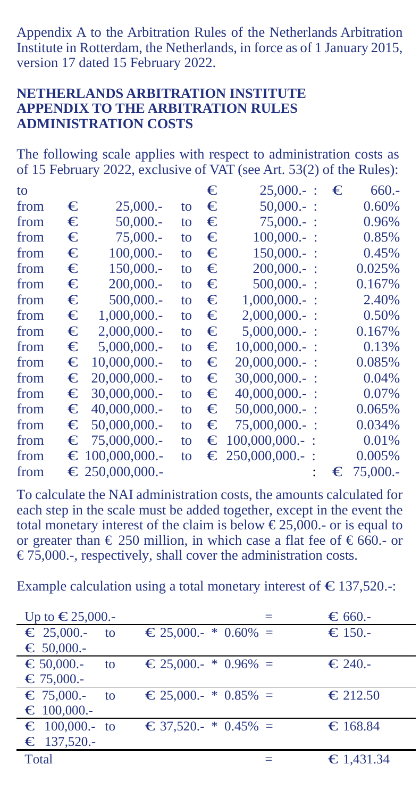Appendix A to the Arbitration Rules of the Netherlands Arbitration Institute in Rotterdam, the Netherlands, in force as of 1 January 2015, version 17 dated 15 February 2022.

## **NETHERLANDS ARBITRATION INSTITUTE APPENDIX TO THE ARBITRATION RULES ADMINISTRATION COSTS**

The following scale applies with respect to administration costs as of 15 February 2022, exclusive of VAT (see Art. 53(2) of the Rules):

| to   |   |                         |    | € | 25,000.                 | € | $660 -$  |
|------|---|-------------------------|----|---|-------------------------|---|----------|
| from | € | 25,000.                 | to | € | $50,000 -$ :            |   | 0.60%    |
| from | € | 50,000.                 | to | € | $75.000 -$ :            |   | 0.96%    |
| from | € | 75,000.                 | to | € | $100,000 -$ :           |   | 0.85%    |
| from | € | 100,000 .-              | to | € | $150,000 -$ :           |   | 0.45%    |
| from | € | 150,000 .-              | to | € | $200,000 -$ :           |   | 0.025%   |
| from | € | 200,000.                | to | € | $500,000 -$ :           |   | 0.167%   |
| from | € | 500,000.                | to | € | $1,000,000 -$ :         |   | 2.40%    |
| from | € | 1,000,000.              | to | € | $2,000,000 -$ :         |   | 0.50%    |
| from | € | 2,000,000.              | to | € | $5.000.000 -$           |   | 0.167%   |
| from | € | 5,000,000.              | to | € | $10,000,000.$ :         |   | 0.13%    |
| from | € | $10,000,000,-$          | to | € | $20,000,000.$ :         |   | 0.085%   |
| from | € | $20,000,000$ .          | to | € | $30,000,000 -$ :        |   | 0.04%    |
| from | € | 30,000,000.             | to | € | $40,000,000$ .          |   | 0.07%    |
| from | € | $40,000,000$ .          | to | € | $50,000,000.$ :         |   | 0.065%   |
| from |   | $\epsilon$ 50,000,000.  | to | € | $75,000,000.$ :         |   | 0.034%   |
| from |   | $\epsilon$ 75.000.000.  | to |   | $\epsilon$ 100,000,000. |   | 0.01%    |
| from |   | $\equiv$ 100,000,000.   | to |   | $\epsilon$ 250,000,000. |   | 0.005%   |
| from |   | $\epsilon$ 250,000,000. |    |   |                         | € | 75,000.- |
|      |   |                         |    |   |                         |   |          |

To calculate the NAI administration costs, the amounts calculated for each step in the scale must be added together, except in the event the total monetary interest of the claim is below  $\epsilon$ 25,000.- or is equal to or greater than  $\in$  250 million, in which case a flat fee of  $\in$  660.- or  $\epsilon$ 75,000.-, respectively, shall cover the administration costs.

Example calculation using a total monetary interest of  $\epsilon$  137,520.-:

| Up to $€25,000.$          |                                              | $\epsilon$ 660.-   |
|---------------------------|----------------------------------------------|--------------------|
| $\epsilon$ 25,000.-<br>to | $\epsilon$ 25,000.- * 0.60% =                | $\bigstar$ = 150.- |
| $\epsilon$ 50,000.-       |                                              |                    |
| $\bigstar$ 50,000.-<br>to | $\epsilon$ 25,000.- * 0.96% =                | $\epsilon$ 240.-   |
| $\epsilon$ 75,000.-       |                                              |                    |
| $\epsilon$ 75,000.-<br>to | $\epsilon$ 25,000.- * 0.85% =                | $\epsilon$ 212.50  |
| $\equiv 100,000.$         |                                              |                    |
| $\epsilon$ 100,000.- to   | $\textcircled{\textcirc}$ 37,520.- * 0.45% = | $\bigstar$ 168.84  |
| $\epsilon$ 137,520.-      |                                              |                    |
| Total                     |                                              | €1,431.34          |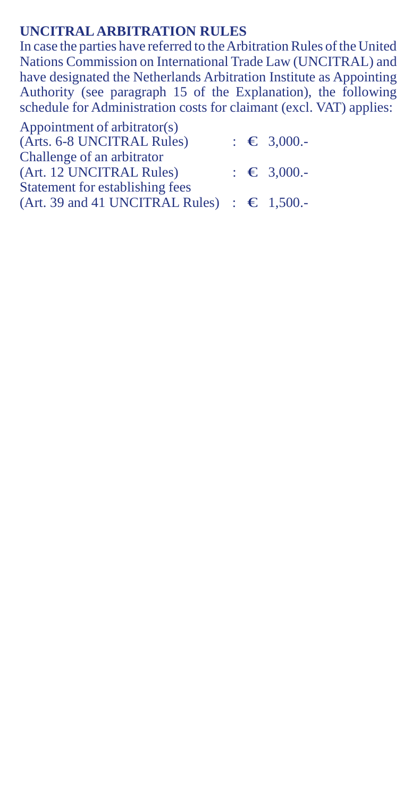## **UNCITRAL ARBITRATION RULES**

In case the parties have referred to the Arbitration Rules of the United Nations Commission on International Trade Law (UNCITRAL) and have designated the Netherlands Arbitration Institute as Appointing Authority (see paragraph 15 of the Explanation), the following schedule for Administration costs for claimant (excl. VAT) applies:

| Appointment of arbitrator(s)                         |                        |
|------------------------------------------------------|------------------------|
| (Arts. 6-8 UNCITRAL Rules)                           | $\epsilon \in 3.000$ . |
| Challenge of an arbitrator                           |                        |
| (Art. 12 UNCITRAL Rules)                             | $\epsilon \in 3.000$ . |
| Statement for establishing fees                      |                        |
| (Art. 39 and 41 UNCITRAL Rules) : $\epsilon$ 1,500.- |                        |
|                                                      |                        |